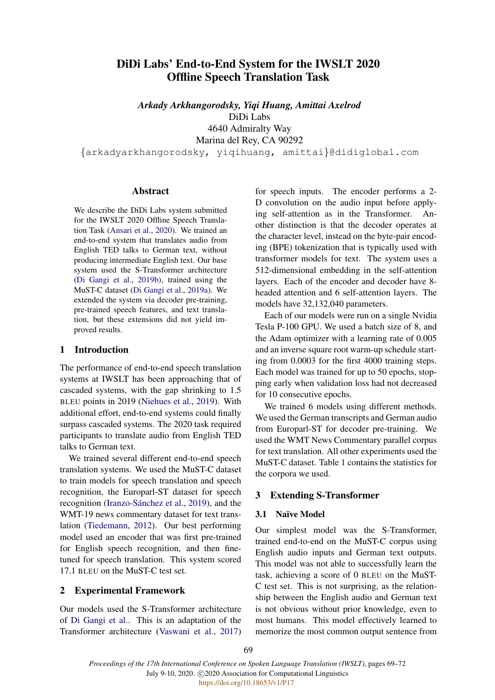# DiDi Labs' End-to-End System for the IWSLT 2020 Offline Speech Translation Task

*Arkady Arkhangorodsky, Yiqi Huang, Amittai Axelrod* DiDi Labs 4640 Admiralty Way Marina del Rey, CA 90292

{arkadyarkhangorodsky, yiqihuang, amittai}@didiglobal.com

#### Abstract

We describe the DiDi Labs system submitted for the IWSLT 2020 Offline Speech Translation Task [\(Ansari et al.,](#page-2-0) [2020\)](#page-2-0). We trained an end-to-end system that translates audio from English TED talks to German text, without producing intermediate English text. Our base system used the S-Transformer architecture [\(Di Gangi et al.,](#page-2-1) [2019b\)](#page-2-1), trained using the MuST-C dataset [\(Di Gangi et al.,](#page-2-2) [2019a\)](#page-2-2). We extended the system via decoder pre-training, pre-trained speech features, and text translation, but these extensions did not yield improved results.

#### 1 Introduction

The performance of end-to-end speech translation systems at IWSLT has been approaching that of cascaded systems, with the gap shrinking to 1.5 BLEU points in 2019 [\(Niehues et al.,](#page-3-0) [2019\)](#page-3-0). With additional effort, end-to-end systems could finally surpass cascaded systems. The 2020 task required participants to translate audio from English TED talks to German text.

We trained several different end-to-end speech translation systems. We used the MuST-C dataset to train models for speech translation and speech recognition, the Europarl-ST dataset for speech recognition (Iranzo-Sánchez et al., [2019\)](#page-3-1), and the WMT-19 news commentary dataset for text translation [\(Tiedemann,](#page-3-2) [2012\)](#page-3-2). Our best performing model used an encoder that was first pre-trained for English speech recognition, and then finetuned for speech translation. This system scored 17.1 BLEU on the MuST-C test set.

### 2 Experimental Framework

Our models used the S-Transformer architecture of [Di Gangi et al..](#page-2-1) This is an adaptation of the Transformer architecture [\(Vaswani et al.,](#page-3-3) [2017\)](#page-3-3)

for speech inputs. The encoder performs a 2- D convolution on the audio input before applying self-attention as in the Transformer. Another distinction is that the decoder operates at the character level, instead on the byte-pair encoding (BPE) tokenization that is typically used with transformer models for text. The system uses a 512-dimensional embedding in the self-attention layers. Each of the encoder and decoder have 8 headed attention and 6 self-attention layers. The models have 32,132,040 parameters.

Each of our models were run on a single Nvidia Tesla P-100 GPU. We used a batch size of 8, and the Adam optimizer with a learning rate of 0.005 and an inverse square root warm-up schedule starting from 0.0003 for the first 4000 training steps. Each model was trained for up to 50 epochs, stopping early when validation loss had not decreased for 10 consecutive epochs.

We trained 6 models using different methods. We used the German transcripts and German audio from Europarl-ST for decoder pre-training. We used the WMT News Commentary parallel corpus for text translation. All other experiments used the MuST-C dataset. Table [1](#page-1-0) contains the statistics for the corpora we used.

### 3 Extending S-Transformer

# 3.1 Naïve Model

Our simplest model was the S-Transformer, trained end-to-end on the MuST-C corpus using English audio inputs and German text outputs. This model was not able to successfully learn the task, achieving a score of 0 BLEU on the MuST-C test set. This is not surprising, as the relationship between the English audio and German text is not obvious without prior knowledge, even to most humans. This model effectively learned to memorize the most common output sentence from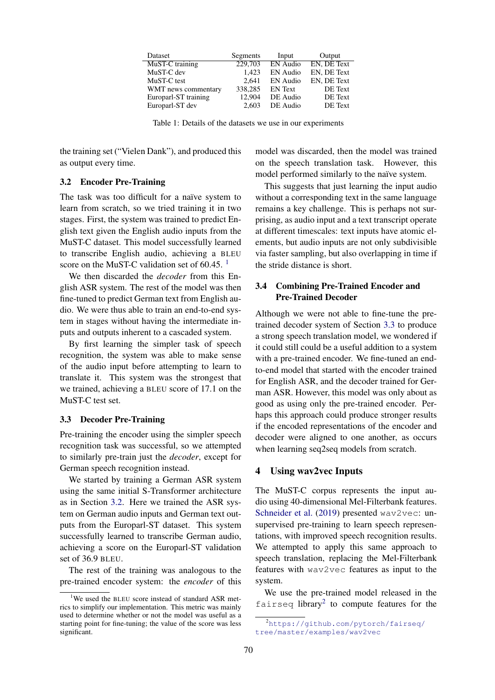<span id="page-1-0"></span>

| Dataset              | Segments | Input          | Output             |
|----------------------|----------|----------------|--------------------|
| MuST-C training      | 229,703  | EN Audio       | <b>EN. DE Text</b> |
| MuST-C dev           | 1.423    | EN Audio       | EN. DE Text        |
| MuST-C test          | 2.641    | EN Audio       | EN, DE Text        |
| WMT news commentary  | 338,285  | <b>EN</b> Text | DE Text            |
| Europarl-ST training | 12.904   | DE Audio       | DE Text            |
| Europarl-ST dev      | 2.603    | DE Audio       | DE Text            |

Table 1: Details of the datasets we use in our experiments

the training set ("Vielen Dank"), and produced this as output every time.

### <span id="page-1-2"></span>3.2 Encoder Pre-Training

The task was too difficult for a naïve system to learn from scratch, so we tried training it in two stages. First, the system was trained to predict English text given the English audio inputs from the MuST-C dataset. This model successfully learned to transcribe English audio, achieving a BLEU score on the MuST-C validation set of  $60.45<sup>-1</sup>$  $60.45<sup>-1</sup>$  $60.45<sup>-1</sup>$ 

We then discarded the *decoder* from this English ASR system. The rest of the model was then fine-tuned to predict German text from English audio. We were thus able to train an end-to-end system in stages without having the intermediate inputs and outputs inherent to a cascaded system.

By first learning the simpler task of speech recognition, the system was able to make sense of the audio input before attempting to learn to translate it. This system was the strongest that we trained, achieving a BLEU score of 17.1 on the MuST-C test set.

#### <span id="page-1-3"></span>3.3 Decoder Pre-Training

Pre-training the encoder using the simpler speech recognition task was successful, so we attempted to similarly pre-train just the *decoder*, except for German speech recognition instead.

We started by training a German ASR system using the same initial S-Transformer architecture as in Section [3.2.](#page-1-2) Here we trained the ASR system on German audio inputs and German text outputs from the Europarl-ST dataset. This system successfully learned to transcribe German audio, achieving a score on the Europarl-ST validation set of 36.9 BLEU.

The rest of the training was analogous to the pre-trained encoder system: the *encoder* of this model was discarded, then the model was trained on the speech translation task. However, this model performed similarly to the naïve system.

This suggests that just learning the input audio without a corresponding text in the same language remains a key challenge. This is perhaps not surprising, as audio input and a text transcript operate at different timescales: text inputs have atomic elements, but audio inputs are not only subdivisible via faster sampling, but also overlapping in time if the stride distance is short.

# 3.4 Combining Pre-Trained Encoder and Pre-Trained Decoder

Although we were not able to fine-tune the pretrained decoder system of Section [3.3](#page-1-3) to produce a strong speech translation model, we wondered if it could still could be a useful addition to a system with a pre-trained encoder. We fine-tuned an endto-end model that started with the encoder trained for English ASR, and the decoder trained for German ASR. However, this model was only about as good as using only the pre-trained encoder. Perhaps this approach could produce stronger results if the encoded representations of the encoder and decoder were aligned to one another, as occurs when learning seq2seq models from scratch.

### 4 Using wav2vec Inputs

The MuST-C corpus represents the input audio using 40-dimensional Mel-Filterbank features. [Schneider et al.](#page-3-4) [\(2019\)](#page-3-4) presented wav2vec: unsupervised pre-training to learn speech representations, with improved speech recognition results. We attempted to apply this same approach to speech translation, replacing the Mel-Filterbank features with wav2vec features as input to the system.

We use the pre-trained model released in the fairseq library<sup>[2](#page-1-4)</sup> to compute features for the

<span id="page-1-1"></span><sup>&</sup>lt;sup>1</sup>We used the BLEU score instead of standard ASR metrics to simplify our implementation. This metric was mainly used to determine whether or not the model was useful as a starting point for fine-tuning; the value of the score was less significant.

<span id="page-1-4"></span><sup>&</sup>lt;sup>2</sup>[https://github.com/pytorch/fairseq/](https://github.com/pytorch/fairseq/tree/master/examples/wav2vec) [tree/master/examples/wav2vec](https://github.com/pytorch/fairseq/tree/master/examples/wav2vec)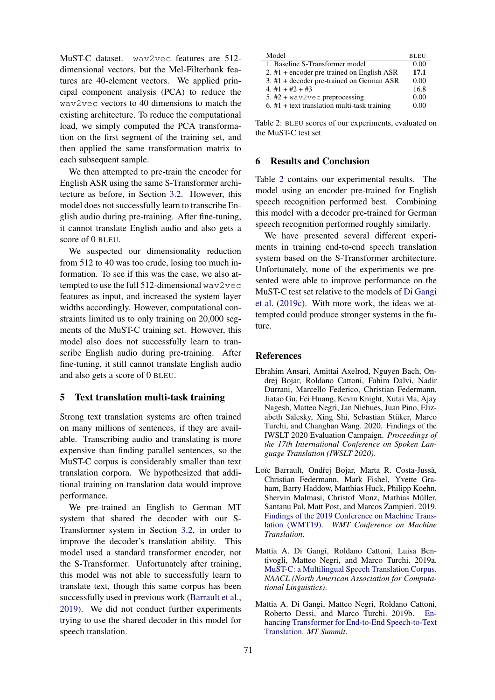MuST-C dataset. wav2vec features are 512 dimensional vectors, but the Mel-Filterbank features are 40-element vectors. We applied principal component analysis (PCA) to reduce the wav2vec vectors to 40 dimensions to match the existing architecture. To reduce the computational load, we simply computed the PCA transformation on the first segment of the training set, and then applied the same transformation matrix to each subsequent sample.

We then attempted to pre-train the encoder for English ASR using the same S-Transformer architecture as before, in Section [3.2.](#page-1-2) However, this model does not successfully learn to transcribe English audio during pre-training. After fine-tuning, it cannot translate English audio and also gets a score of 0 BLEU.

We suspected our dimensionality reduction from 512 to 40 was too crude, losing too much information. To see if this was the case, we also attempted to use the full 512-dimensional wav2vec features as input, and increased the system layer widths accordingly. However, computational constraints limited us to only training on 20,000 segments of the MuST-C training set. However, this model also does not successfully learn to transcribe English audio during pre-training. After fine-tuning, it still cannot translate English audio and also gets a score of 0 BLEU.

## 5 Text translation multi-task training

Strong text translation systems are often trained on many millions of sentences, if they are available. Transcribing audio and translating is more expensive than finding parallel sentences, so the MuST-C corpus is considerably smaller than text translation corpora. We hypothesized that additional training on translation data would improve performance.

We pre-trained an English to German MT system that shared the decoder with our S-Transformer system in Section [3.2,](#page-1-2) in order to improve the decoder's translation ability. This model used a standard transformer encoder, not the S-Transformer. Unfortunately after training, this model was not able to successfully learn to translate text, though this same corpus has been successfully used in previous work [\(Barrault et al.,](#page-2-3) [2019\)](#page-2-3). We did not conduct further experiments trying to use the shared decoder in this model for speech translation.

<span id="page-2-4"></span>

| Model                                          | <b>BLEU</b> |
|------------------------------------------------|-------------|
| 1. Baseline S-Transformer model                | 0.00        |
| 2. #1 + encoder pre-trained on English ASR     | 17.1        |
| 3. $#1$ + decoder pre-trained on German ASR    | 0.00        |
| 4. #1 + #2 + #3                                | 16.8        |
| 5. $#2 + wav2vec$ preprocessing                | 0.00        |
| $6.$ #1 + text translation multi-task training | 0.00        |

Table 2: BLEU scores of our experiments, evaluated on the MuST-C test set

## 6 Results and Conclusion

Table [2](#page-2-4) contains our experimental results. The model using an encoder pre-trained for English speech recognition performed best. Combining this model with a decoder pre-trained for German speech recognition performed roughly similarly.

We have presented several different experiments in training end-to-end speech translation system based on the S-Transformer architecture. Unfortunately, none of the experiments we presented were able to improve performance on the MuST-C test set relative to the models of [Di Gangi](#page-3-5) [et al.](#page-3-5) [\(2019c\)](#page-3-5). With more work, the ideas we attempted could produce stronger systems in the future.

#### References

- <span id="page-2-0"></span>Ebrahim Ansari, Amittai Axelrod, Nguyen Bach, Ondrej Bojar, Roldano Cattoni, Fahim Dalvi, Nadir Durrani, Marcello Federico, Christian Federmann, Jiatao Gu, Fei Huang, Kevin Knight, Xutai Ma, Ajay Nagesh, Matteo Negri, Jan Niehues, Juan Pino, Elizabeth Salesky, Xing Shi, Sebastian Stüker, Marco Turchi, and Changhan Wang. 2020. Findings of the IWSLT 2020 Evaluation Campaign. *Proceedings of the 17th International Conference on Spoken Language Translation (IWSLT 2020)*.
- <span id="page-2-3"></span>Loïc Barrault, Ondřej Bojar, Marta R. Costa-Jussà, Christian Federmann, Mark Fishel, Yvette Graham, Barry Haddow, Matthias Huck, Philipp Koehn, Shervin Malmasi, Christof Monz, Mathias Müller, Santanu Pal, Matt Post, and Marcos Zampieri. 2019. [Findings of the 2019 Conference on Machine Trans](https://www.aclweb.org/anthology/W19-5301/)[lation \(WMT19\).](https://www.aclweb.org/anthology/W19-5301/) *WMT Conference on Machine Translation*.
- <span id="page-2-2"></span>Mattia A. Di Gangi, Roldano Cattoni, Luisa Bentivogli, Matteo Negri, and Marco Turchi. 2019a. [MuST-C: a Multilingual Speech Translation Corpus.](https://doi.org/10.18653/v1/N19-1202) *NAACL (North American Association for Computational Linguistics)*.
- <span id="page-2-1"></span>Mattia A. Di Gangi, Matteo Negri, Roldano Cattoni, Roberto Dessi, and Marco Turchi. 2019b. [En](https://www.aclweb.org/anthology/W19-6603)[hancing Transformer for End-to-End Speech-to-Text](https://www.aclweb.org/anthology/W19-6603) [Translation.](https://www.aclweb.org/anthology/W19-6603) *MT Summit*.